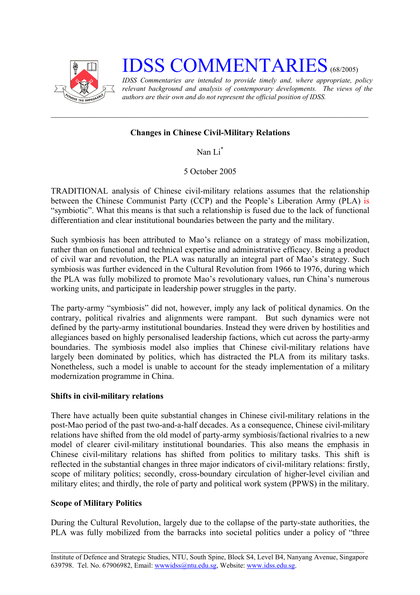

# **IDSS COMMENTARIES** (68/2005)

*IDSS Commentaries are intended to provide timely and, where appropriate, policy relevant background and analysis of contemporary developments. The views of the authors are their own and do not represent the official position of IDSS.* 

## **Changes in Chinese Civil-Military Relations**

Nan Li[\\*](#page-2-0)

5 October 2005

TRADITIONAL analysis of Chinese civil-military relations assumes that the relationship between the Chinese Communist Party (CCP) and the People's Liberation Army (PLA) is "symbiotic". What this means is that such a relationship is fused due to the lack of functional differentiation and clear institutional boundaries between the party and the military.

Such symbiosis has been attributed to Mao's reliance on a strategy of mass mobilization, rather than on functional and technical expertise and administrative efficacy. Being a product of civil war and revolution, the PLA was naturally an integral part of Mao's strategy. Such symbiosis was further evidenced in the Cultural Revolution from 1966 to 1976, during which the PLA was fully mobilized to promote Mao's revolutionary values, run China's numerous working units, and participate in leadership power struggles in the party.

The party-army "symbiosis" did not, however, imply any lack of political dynamics. On the contrary, political rivalries and alignments were rampant. But such dynamics were not defined by the party-army institutional boundaries. Instead they were driven by hostilities and allegiances based on highly personalised leadership factions, which cut across the party-army boundaries. The symbiosis model also implies that Chinese civil-military relations have largely been dominated by politics, which has distracted the PLA from its military tasks. Nonetheless, such a model is unable to account for the steady implementation of a military modernization programme in China.

## **Shifts in civil-military relations**

There have actually been quite substantial changes in Chinese civil-military relations in the post-Mao period of the past two-and-a-half decades. As a consequence, Chinese civil-military relations have shifted from the old model of party-army symbiosis/factional rivalries to a new model of clearer civil-military institutional boundaries. This also means the emphasis in Chinese civil-military relations has shifted from politics to military tasks. This shift is reflected in the substantial changes in three major indicators of civil-military relations: firstly, scope of military politics; secondly, cross-boundary circulation of higher-level civilian and military elites; and thirdly, the role of party and political work system (PPWS) in the military.

## **Scope of Military Politics**

During the Cultural Revolution, largely due to the collapse of the party-state authorities, the PLA was fully mobilized from the barracks into societal politics under a policy of "three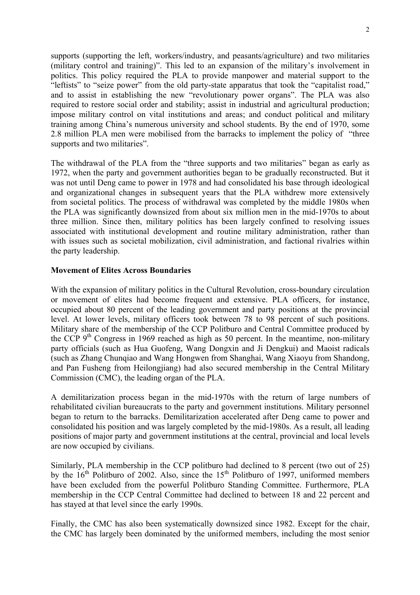supports (supporting the left, workers/industry, and peasants/agriculture) and two militaries (military control and training)". This led to an expansion of the military's involvement in politics. This policy required the PLA to provide manpower and material support to the "leftists" to "seize power" from the old party-state apparatus that took the "capitalist road," and to assist in establishing the new "revolutionary power organs". The PLA was also required to restore social order and stability; assist in industrial and agricultural production; impose military control on vital institutions and areas; and conduct political and military training among China's numerous university and school students. By the end of 1970, some 2.8 million PLA men were mobilised from the barracks to implement the policy of "three supports and two militaries".

The withdrawal of the PLA from the "three supports and two militaries" began as early as 1972, when the party and government authorities began to be gradually reconstructed. But it was not until Deng came to power in 1978 and had consolidated his base through ideological and organizational changes in subsequent years that the PLA withdrew more extensively from societal politics. The process of withdrawal was completed by the middle 1980s when the PLA was significantly downsized from about six million men in the mid-1970s to about three million. Since then, military politics has been largely confined to resolving issues associated with institutional development and routine military administration, rather than with issues such as societal mobilization, civil administration, and factional rivalries within the party leadership.

#### **Movement of Elites Across Boundaries**

With the expansion of military politics in the Cultural Revolution, cross-boundary circulation or movement of elites had become frequent and extensive. PLA officers, for instance, occupied about 80 percent of the leading government and party positions at the provincial level. At lower levels, military officers took between 78 to 98 percent of such positions. Military share of the membership of the CCP Politburo and Central Committee produced by the CCP  $9<sup>th</sup>$  Congress in 1969 reached as high as 50 percent. In the meantime, non-military party officials (such as Hua Guofeng, Wang Dongxin and Ji Dengkui) and Maoist radicals (such as Zhang Chunqiao and Wang Hongwen from Shanghai, Wang Xiaoyu from Shandong, and Pan Fusheng from Heilongjiang) had also secured membership in the Central Military Commission (CMC), the leading organ of the PLA.

A demilitarization process began in the mid-1970s with the return of large numbers of rehabilitated civilian bureaucrats to the party and government institutions. Military personnel began to return to the barracks. Demilitarization accelerated after Deng came to power and consolidated his position and was largely completed by the mid-1980s. As a result, all leading positions of major party and government institutions at the central, provincial and local levels are now occupied by civilians.

Similarly, PLA membership in the CCP politburo had declined to 8 percent (two out of 25) by the  $16<sup>th</sup>$  Politburo of 2002. Also, since the  $15<sup>th</sup>$  Politburo of 1997, uniformed members have been excluded from the powerful Politburo Standing Committee. Furthermore, PLA membership in the CCP Central Committee had declined to between 18 and 22 percent and has stayed at that level since the early 1990s.

Finally, the CMC has also been systematically downsized since 1982. Except for the chair, the CMC has largely been dominated by the uniformed members, including the most senior